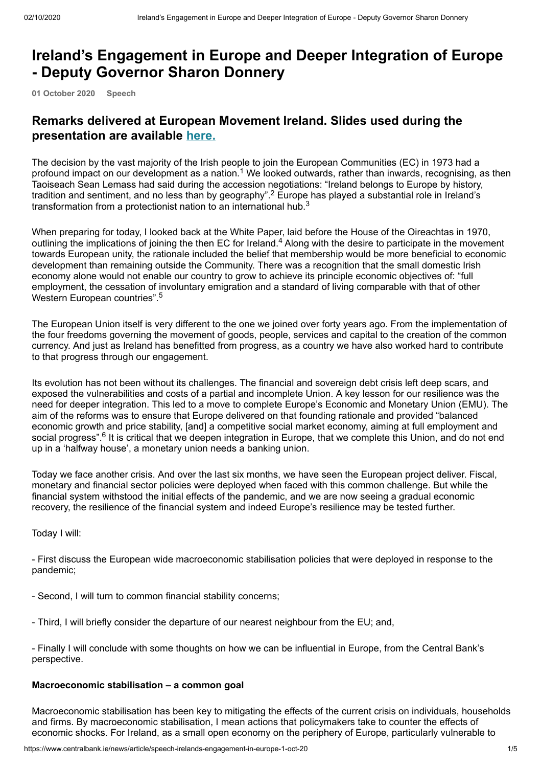# **Ireland's Engagement in Europe and Deeper Integration of Europe - Deputy Governor Sharon Donnery**

**01 October 2020 Speech**

# **Remarks delivered at European Movement Ireland. Slides used during the presentation are available [here.](https://www.centralbank.ie/docs/default-source/news-and-media/speeches/201001-sharondonneryemi-slides.pdf?sfvrsn=2)**

The decision by the vast majority of the Irish people to join the European Communities (EC) in 1973 had a profound impact on our development as a nation. $^1$  We looked outwards, rather than inwards, recognising, as then Taoiseach Sean Lemass had said during the accession negotiations: "Ireland belongs to Europe by history, tradition and sentiment, and no less than by geography". $^2$  Europe has played a substantial role in Ireland's transformation from a protectionist nation to an international hub.<sup>3</sup>

When preparing for today, I looked back at the White Paper, laid before the House of the Oireachtas in 1970, outlining the implications of joining the then EC for Ireland.<sup>4</sup> Along with the desire to participate in the movement towards European unity, the rationale included the belief that membership would be more beneficial to economic development than remaining outside the Community. There was a recognition that the small domestic Irish economy alone would not enable our country to grow to achieve its principle economic objectives of: "full employment, the cessation of involuntary emigration and a standard of living comparable with that of other Western European countries".<sup>5</sup>

The European Union itself is very different to the one we joined over forty years ago. From the implementation of the four freedoms governing the movement of goods, people, services and capital to the creation of the common currency. And just as Ireland has benefitted from progress, as a country we have also worked hard to contribute to that progress through our engagement.

Its evolution has not been without its challenges. The financial and sovereign debt crisis left deep scars, and exposed the vulnerabilities and costs of a partial and incomplete Union. A key lesson for our resilience was the need for deeper integration. This led to a move to complete Europe's Economic and Monetary Union (EMU). The aim of the reforms was to ensure that Europe delivered on that founding rationale and provided "balanced economic growth and price stability, [and] a competitive social market economy, aiming at full employment and social progress".<sup>6</sup> It is critical that we deepen integration in Europe, that we complete this Union, and do not end up in a 'halfway house', a monetary union needs a banking union.

Today we face another crisis. And over the last six months, we have seen the European project deliver. Fiscal, monetary and financial sector policies were deployed when faced with this common challenge. But while the financial system withstood the initial effects of the pandemic, and we are now seeing a gradual economic recovery, the resilience of the financial system and indeed Europe's resilience may be tested further.

Today I will:

- First discuss the European wide macroeconomic stabilisation policies that were deployed in response to the pandemic;

- Second, I will turn to common financial stability concerns;
- Third, I will briefly consider the departure of our nearest neighbour from the EU; and,

- Finally I will conclude with some thoughts on how we can be influential in Europe, from the Central Bank's perspective.

## **Macroeconomic stabilisation – a common goal**

Macroeconomic stabilisation has been key to mitigating the effects of the current crisis on individuals, households and firms. By macroeconomic stabilisation, I mean actions that policymakers take to counter the effects of economic shocks. For Ireland, as a small open economy on the periphery of Europe, particularly vulnerable to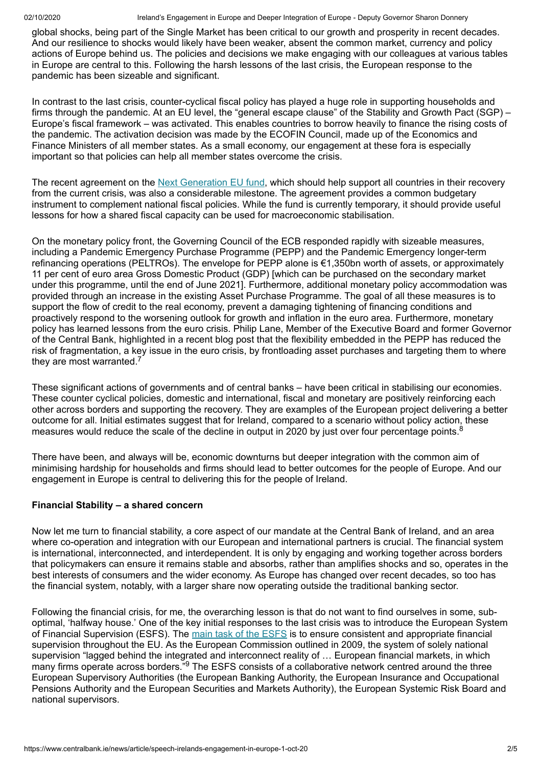global shocks, being part of the Single Market has been critical to our growth and prosperity in recent decades. And our resilience to shocks would likely have been weaker, absent the common market, currency and policy actions of Europe behind us. The policies and decisions we make engaging with our colleagues at various tables in Europe are central to this. Following the harsh lessons of the last crisis, the European response to the pandemic has been sizeable and significant.

In contrast to the last crisis, counter-cyclical fiscal policy has played a huge role in supporting households and firms through the pandemic. At an EU level, the "general escape clause" of the Stability and Growth Pact (SGP) – Europe's fiscal framework – was activated. This enables countries to borrow heavily to finance the rising costs of the pandemic. The activation decision was made by the ECOFIN Council, made up of the Economics and Finance Ministers of all member states. As a small economy, our engagement at these fora is especially important so that policies can help all member states overcome the crisis.

The recent agreement on the <u>[Next Generation EU fund](https://ec.europa.eu/commission/presscorner/detail/en/ip_20_1171)</u>, which should help support all countries in their recovery from the current crisis, was also a considerable milestone. The agreement provides a common budgetary instrument to complement national fiscal policies. While the fund is currently temporary, it should provide useful lessons for how a shared fiscal capacity can be used for macroeconomic stabilisation.

On the monetary policy front, the Governing Council of the ECB responded rapidly with sizeable measures, including a Pandemic Emergency Purchase Programme (PEPP) and the Pandemic Emergency longer-term refinancing operations (PELTROs). The envelope for PEPP alone is €1,350bn worth of assets, or approximately 11 per cent of euro area Gross Domestic Product (GDP) [which can be purchased on the secondary market under this programme, until the end of June 2021]. Furthermore, additional monetary policy accommodation was provided through an increase in the existing Asset Purchase Programme. The goal of all these measures is to support the flow of credit to the real economy, prevent a damaging tightening of financing conditions and proactively respond to the worsening outlook for growth and inflation in the euro area. Furthermore, monetary policy has learned lessons from the euro crisis. Philip Lane, Member of the Executive Board and former Governor of the Central Bank, highlighted in a recent blog post that the flexibility embedded in the PEPP has reduced the risk of fragmentation, a key issue in the euro crisis, by frontloading asset purchases and targeting them to where they are most warranted.<sup>7</sup>

These significant actions of governments and of central banks – have been critical in stabilising our economies. These counter cyclical policies, domestic and international, fiscal and monetary are positively reinforcing each other across borders and supporting the recovery. They are examples of the European project delivering a better outcome for all. Initial estimates suggest that for Ireland, compared to a scenario without policy action, these measures would reduce the scale of the decline in output in 2020 by just over four percentage points.<sup>8</sup>

There have been, and always will be, economic downturns but deeper integration with the common aim of minimising hardship for households and firms should lead to better outcomes for the people of Europe. And our engagement in Europe is central to delivering this for the people of Ireland.

## **Financial Stability – a shared concern**

Now let me turn to financial stability, a core aspect of our mandate at the Central Bank of Ireland, and an area where co-operation and integration with our European and international partners is crucial. The financial system is international, interconnected, and interdependent. It is only by engaging and working together across borders that policymakers can ensure it remains stable and absorbs, rather than amplifies shocks and so, operates in the best interests of consumers and the wider economy. As Europe has changed over recent decades, so too has the financial system, notably, with a larger share now operating outside the traditional banking sector.

Following the financial crisis, for me, the overarching lesson is that do not want to find ourselves in some, suboptimal, 'halfway house.' One of the key initial responses to the last crisis was to introduce the European System of Financial Supervision (ESFS). The <u>[main task of the ESFS](https://www.bankingsupervision.europa.eu/about/esfs/html/index.en.html)</u> is to ensure consistent and appropriate financial supervision throughout the EU. As the European Commission outlined in 2009, the system of solely national supervision "lagged behind the integrated and interconnect reality of … European financial markets, in which many firms operate across borders."<sup>9</sup> The ESFS consists of a collaborative network centred around the three European Supervisory Authorities (the European Banking Authority, the European Insurance and Occupational Pensions Authority and the European Securities and Markets Authority), the European Systemic Risk Board and national supervisors.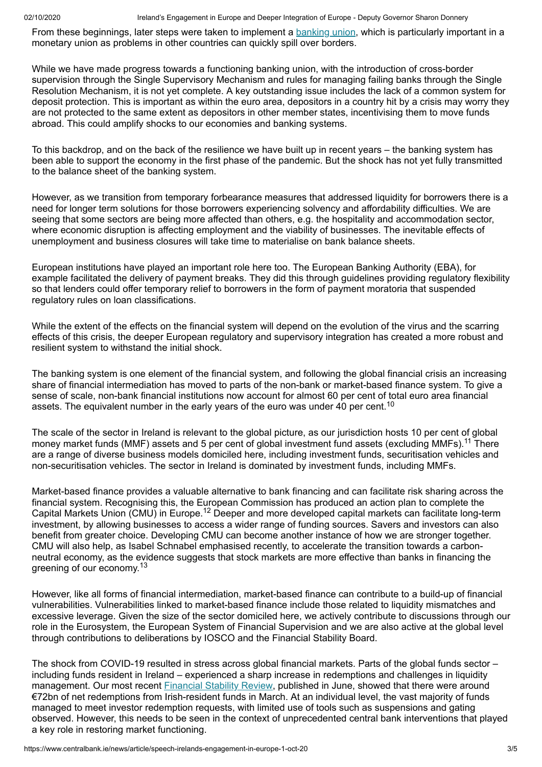02/10/2020 **Ireland's Engagement in Europe and Deeper Integration of Europe - Deputy Governor Sharon Donnery** 

From these beginnings, later steps were taken to implement a <u>[banking union](https://www.bankingsupervision.europa.eu/about/bankingunion/html/index.en.html)</u>, which is particularly important in a monetary union as problems in other countries can quickly spill over borders.

While we have made progress towards a functioning banking union, with the introduction of cross-border supervision through the Single Supervisory Mechanism and rules for managing failing banks through the Single Resolution Mechanism, it is not yet complete. A key outstanding issue includes the lack of a common system for deposit protection. This is important as within the euro area, depositors in a country hit by a crisis may worry they are not protected to the same extent as depositors in other member states, incentivising them to move funds abroad. This could amplify shocks to our economies and banking systems.

To this backdrop, and on the back of the resilience we have built up in recent years – the banking system has been able to support the economy in the first phase of the pandemic. But the shock has not yet fully transmitted to the balance sheet of the banking system.

However, as we transition from temporary forbearance measures that addressed liquidity for borrowers there is a need for longer term solutions for those borrowers experiencing solvency and affordability difficulties. We are seeing that some sectors are being more affected than others, e.g. the hospitality and accommodation sector, where economic disruption is affecting employment and the viability of businesses. The inevitable effects of unemployment and business closures will take time to materialise on bank balance sheets.

European institutions have played an important role here too. The European Banking Authority (EBA), for example facilitated the delivery of payment breaks. They did this through guidelines providing regulatory flexibility so that lenders could offer temporary relief to borrowers in the form of payment moratoria that suspended regulatory rules on loan classifications.

While the extent of the effects on the financial system will depend on the evolution of the virus and the scarring effects of this crisis, the deeper European regulatory and supervisory integration has created a more robust and resilient system to withstand the initial shock.

The banking system is one element of the financial system, and following the global financial crisis an increasing share of financial intermediation has moved to parts of the non-bank or market-based finance system. To give a sense of scale, non-bank financial institutions now account for almost 60 per cent of total euro area financial assets. The equivalent number in the early years of the euro was under 40 per cent. $^{\mathsf{10}}$ 

The scale of the sector in Ireland is relevant to the global picture, as our jurisdiction hosts 10 per cent of global money market funds (MMF) assets and 5 per cent of global investment fund assets (excluding MMFs).<sup>11</sup> There are a range of diverse business models domiciled here, including investment funds, securitisation vehicles and non-securitisation vehicles. The sector in Ireland is dominated by investment funds, including MMFs.

Market-based finance provides a valuable alternative to bank financing and can facilitate risk sharing across the financial system. Recognising this, the European Commission has produced an action plan to complete the Capital Markets Union (CMU) in Europe.<sup>12</sup> Deeper and more developed capital markets can facilitate long-term investment, by allowing businesses to access a wider range of funding sources. Savers and investors can also benefit from greater choice. Developing CMU can become another instance of how we are stronger together. CMU will also help, as Isabel Schnabel emphasised recently, to accelerate the transition towards a carbonneutral economy, as the evidence suggests that stock markets are more effective than banks in financing the greening of our economy.<sup>13</sup>

However, like all forms of financial intermediation, market-based finance can contribute to a build-up of financial vulnerabilities. Vulnerabilities linked to market-based finance include those related to liquidity mismatches and excessive leverage. Given the size of the sector domiciled here, we actively contribute to discussions through our role in the Eurosystem, the European System of Financial Supervision and we are also active at the global level through contributions to deliberations by IOSCO and the Financial Stability Board.

The shock from COVID-19 resulted in stress across global financial markets. Parts of the global funds sector – including funds resident in Ireland – experienced a sharp increase in redemptions and challenges in liquidity management. Our most recent **[Financial Stability Review](https://www.centralbank.ie/publication/financial-stability-review/financial-stability-review-2020-i)**, published in June, showed that there were around €72bn of net redemptions from Irish-resident funds in March. At an individual level, the vast majority of funds managed to meet investor redemption requests, with limited use of tools such as suspensions and gating observed. However, this needs to be seen in the context of unprecedented central bank interventions that played a key role in restoring market functioning.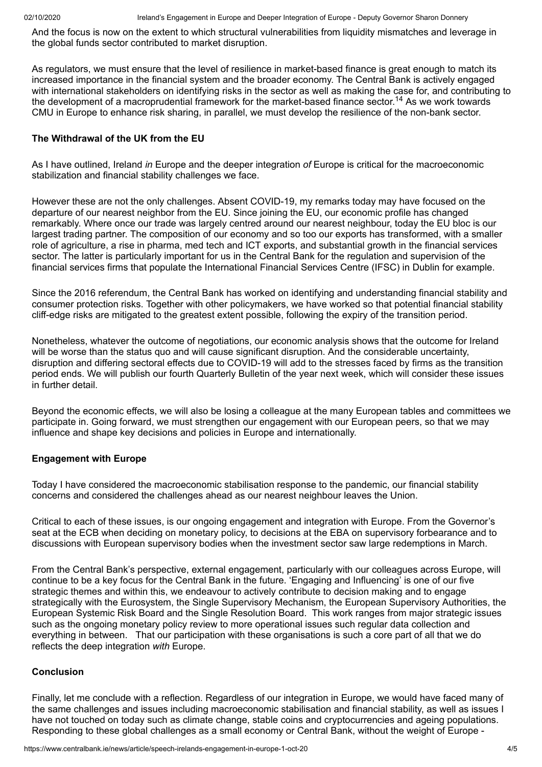And the focus is now on the extent to which structural vulnerabilities from liquidity mismatches and leverage in the global funds sector contributed to market disruption.

As regulators, we must ensure that the level of resilience in market-based finance is great enough to match its increased importance in the financial system and the broader economy. The Central Bank is actively engaged with international stakeholders on identifying risks in the sector as well as making the case for, and contributing to the development of a macroprudential framework for the market-based finance sector.<sup>14</sup> As we work towards CMU in Europe to enhance risk sharing, in parallel, we must develop the resilience of the non-bank sector.

#### **The Withdrawal of the UK from the EU**

As I have outlined, Ireland *in* Europe and the deeper integration *of* Europe is critical for the macroeconomic stabilization and financial stability challenges we face.

However these are not the only challenges. Absent COVID-19, my remarks today may have focused on the departure of our nearest neighbor from the EU. Since joining the EU, our economic profile has changed remarkably. Where once our trade was largely centred around our nearest neighbour, today the EU bloc is our largest trading partner. The composition of our economy and so too our exports has transformed, with a smaller role of agriculture, a rise in pharma, med tech and ICT exports, and substantial growth in the financial services sector. The latter is particularly important for us in the Central Bank for the regulation and supervision of the financial services firms that populate the International Financial Services Centre (IFSC) in Dublin for example.

Since the 2016 referendum, the Central Bank has worked on identifying and understanding financial stability and consumer protection risks. Together with other policymakers, we have worked so that potential financial stability cliff-edge risks are mitigated to the greatest extent possible, following the expiry of the transition period.

Nonetheless, whatever the outcome of negotiations, our economic analysis shows that the outcome for Ireland will be worse than the status quo and will cause significant disruption. And the considerable uncertainty, disruption and differing sectoral effects due to COVID-19 will add to the stresses faced by firms as the transition period ends. We will publish our fourth Quarterly Bulletin of the year next week, which will consider these issues in further detail.

Beyond the economic effects, we will also be losing a colleague at the many European tables and committees we participate in. Going forward, we must strengthen our engagement with our European peers, so that we may influence and shape key decisions and policies in Europe and internationally.

#### **Engagement with Europe**

Today I have considered the macroeconomic stabilisation response to the pandemic, our financial stability concerns and considered the challenges ahead as our nearest neighbour leaves the Union.

Critical to each of these issues, is our ongoing engagement and integration with Europe. From the Governor's seat at the ECB when deciding on monetary policy, to decisions at the EBA on supervisory forbearance and to discussions with European supervisory bodies when the investment sector saw large redemptions in March.

From the Central Bank's perspective, external engagement, particularly with our colleagues across Europe, will continue to be a key focus for the Central Bank in the future. 'Engaging and Influencing' is one of our five strategic themes and within this, we endeavour to actively contribute to decision making and to engage strategically with the Eurosystem, the Single Supervisory Mechanism, the European Supervisory Authorities, the European Systemic Risk Board and the Single Resolution Board. This work ranges from major strategic issues such as the ongoing monetary policy review to more operational issues such regular data collection and everything in between. That our participation with these organisations is such a core part of all that we do reflects the deep integration *with* Europe.

#### **Conclusion**

Finally, let me conclude with a reflection. Regardless of our integration in Europe, we would have faced many of the same challenges and issues including macroeconomic stabilisation and financial stability, as well as issues I have not touched on today such as climate change, stable coins and cryptocurrencies and ageing populations. Responding to these global challenges as a small economy or Central Bank, without the weight of Europe -